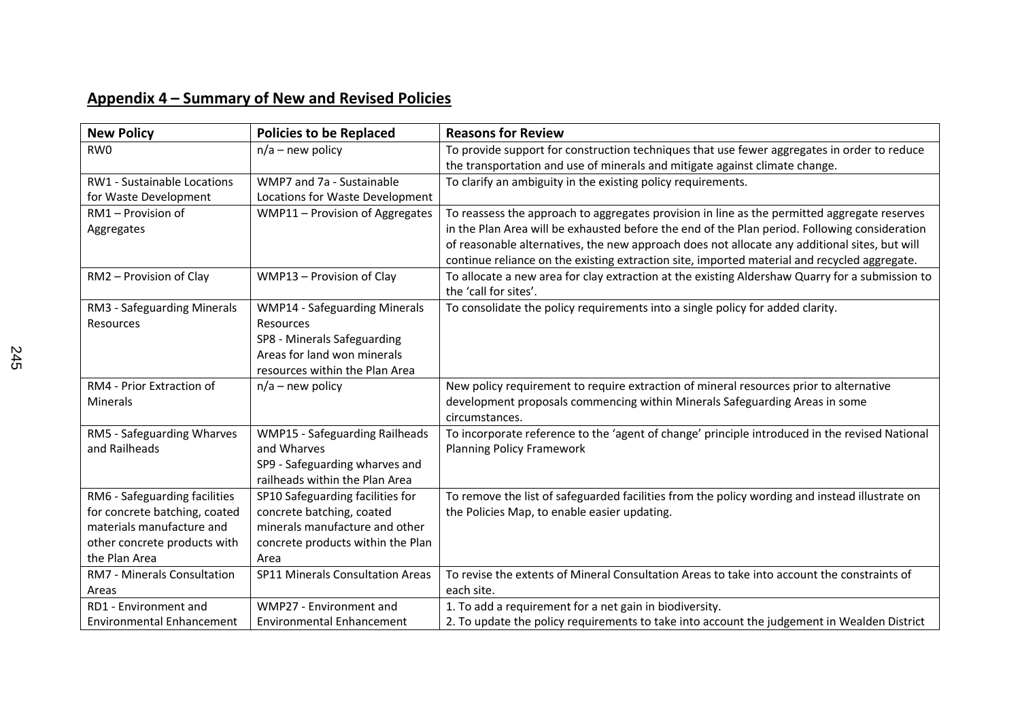## **Appendix 4 – Summary of New and Revised Policies**

| <b>New Policy</b>                | <b>Policies to be Replaced</b>          | <b>Reasons for Review</b>                                                                       |
|----------------------------------|-----------------------------------------|-------------------------------------------------------------------------------------------------|
| RW <sub>0</sub>                  | $n/a$ – new policy                      | To provide support for construction techniques that use fewer aggregates in order to reduce     |
|                                  |                                         | the transportation and use of minerals and mitigate against climate change.                     |
| RW1 - Sustainable Locations      | WMP7 and 7a - Sustainable               | To clarify an ambiguity in the existing policy requirements.                                    |
| for Waste Development            | Locations for Waste Development         |                                                                                                 |
| RM1 - Provision of               | WMP11 - Provision of Aggregates         | To reassess the approach to aggregates provision in line as the permitted aggregate reserves    |
| Aggregates                       |                                         | in the Plan Area will be exhausted before the end of the Plan period. Following consideration   |
|                                  |                                         | of reasonable alternatives, the new approach does not allocate any additional sites, but will   |
|                                  |                                         | continue reliance on the existing extraction site, imported material and recycled aggregate.    |
| RM2 - Provision of Clay          | WMP13 - Provision of Clay               | To allocate a new area for clay extraction at the existing Aldershaw Quarry for a submission to |
|                                  |                                         | the 'call for sites'.                                                                           |
| RM3 - Safeguarding Minerals      | <b>WMP14 - Safeguarding Minerals</b>    | To consolidate the policy requirements into a single policy for added clarity.                  |
| Resources                        | Resources                               |                                                                                                 |
|                                  | SP8 - Minerals Safeguarding             |                                                                                                 |
|                                  | Areas for land won minerals             |                                                                                                 |
|                                  | resources within the Plan Area          |                                                                                                 |
| RM4 - Prior Extraction of        | $n/a$ – new policy                      | New policy requirement to require extraction of mineral resources prior to alternative          |
| Minerals                         |                                         | development proposals commencing within Minerals Safeguarding Areas in some                     |
|                                  |                                         | circumstances.                                                                                  |
| RM5 - Safeguarding Wharves       | <b>WMP15 - Safeguarding Railheads</b>   | To incorporate reference to the 'agent of change' principle introduced in the revised National  |
| and Railheads                    | and Wharves                             | <b>Planning Policy Framework</b>                                                                |
|                                  | SP9 - Safeguarding wharves and          |                                                                                                 |
|                                  | railheads within the Plan Area          |                                                                                                 |
| RM6 - Safeguarding facilities    | SP10 Safeguarding facilities for        | To remove the list of safeguarded facilities from the policy wording and instead illustrate on  |
| for concrete batching, coated    | concrete batching, coated               | the Policies Map, to enable easier updating.                                                    |
| materials manufacture and        | minerals manufacture and other          |                                                                                                 |
| other concrete products with     | concrete products within the Plan       |                                                                                                 |
| the Plan Area                    | Area                                    |                                                                                                 |
| RM7 - Minerals Consultation      | <b>SP11 Minerals Consultation Areas</b> | To revise the extents of Mineral Consultation Areas to take into account the constraints of     |
| Areas                            |                                         | each site.                                                                                      |
| RD1 - Environment and            | WMP27 - Environment and                 | 1. To add a requirement for a net gain in biodiversity.                                         |
| <b>Environmental Enhancement</b> | <b>Environmental Enhancement</b>        | 2. To update the policy requirements to take into account the judgement in Wealden District     |